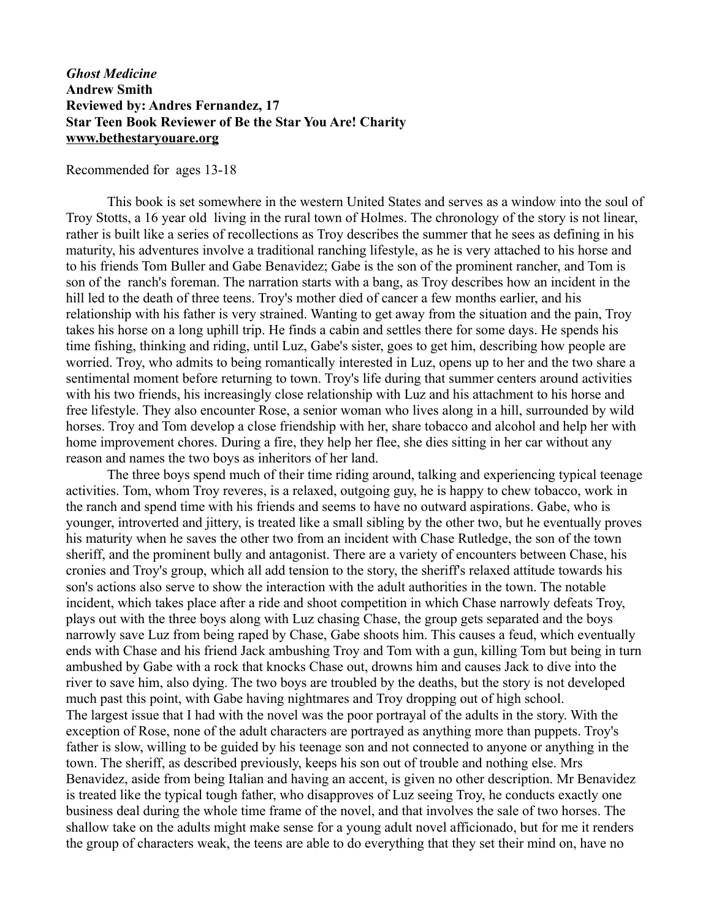## *Ghost Medicine* **Andrew Smith Reviewed by: Andres Fernandez, 17 Star Teen Book Reviewer of Be the Star You Are! Charity [www.bethestaryouare.org](http://www.bethestaryouare.org/)**

## Recommended for ages 13-18

This book is set somewhere in the western United States and serves as a window into the soul of Troy Stotts, a 16 year old living in the rural town of Holmes. The chronology of the story is not linear, rather is built like a series of recollections as Troy describes the summer that he sees as defining in his maturity, his adventures involve a traditional ranching lifestyle, as he is very attached to his horse and to his friends Tom Buller and Gabe Benavidez; Gabe is the son of the prominent rancher, and Tom is son of the ranch's foreman. The narration starts with a bang, as Troy describes how an incident in the hill led to the death of three teens. Troy's mother died of cancer a few months earlier, and his relationship with his father is very strained. Wanting to get away from the situation and the pain, Troy takes his horse on a long uphill trip. He finds a cabin and settles there for some days. He spends his time fishing, thinking and riding, until Luz, Gabe's sister, goes to get him, describing how people are worried. Troy, who admits to being romantically interested in Luz, opens up to her and the two share a sentimental moment before returning to town. Troy's life during that summer centers around activities with his two friends, his increasingly close relationship with Luz and his attachment to his horse and free lifestyle. They also encounter Rose, a senior woman who lives along in a hill, surrounded by wild horses. Troy and Tom develop a close friendship with her, share tobacco and alcohol and help her with home improvement chores. During a fire, they help her flee, she dies sitting in her car without any reason and names the two boys as inheritors of her land.

The three boys spend much of their time riding around, talking and experiencing typical teenage activities. Tom, whom Troy reveres, is a relaxed, outgoing guy, he is happy to chew tobacco, work in the ranch and spend time with his friends and seems to have no outward aspirations. Gabe, who is younger, introverted and jittery, is treated like a small sibling by the other two, but he eventually proves his maturity when he saves the other two from an incident with Chase Rutledge, the son of the town sheriff, and the prominent bully and antagonist. There are a variety of encounters between Chase, his cronies and Troy's group, which all add tension to the story, the sheriff's relaxed attitude towards his son's actions also serve to show the interaction with the adult authorities in the town. The notable incident, which takes place after a ride and shoot competition in which Chase narrowly defeats Troy, plays out with the three boys along with Luz chasing Chase, the group gets separated and the boys narrowly save Luz from being raped by Chase, Gabe shoots him. This causes a feud, which eventually ends with Chase and his friend Jack ambushing Troy and Tom with a gun, killing Tom but being in turn ambushed by Gabe with a rock that knocks Chase out, drowns him and causes Jack to dive into the river to save him, also dying. The two boys are troubled by the deaths, but the story is not developed much past this point, with Gabe having nightmares and Troy dropping out of high school. The largest issue that I had with the novel was the poor portrayal of the adults in the story. With the exception of Rose, none of the adult characters are portrayed as anything more than puppets. Troy's father is slow, willing to be guided by his teenage son and not connected to anyone or anything in the town. The sheriff, as described previously, keeps his son out of trouble and nothing else. Mrs Benavidez, aside from being Italian and having an accent, is given no other description. Mr Benavidez is treated like the typical tough father, who disapproves of Luz seeing Troy, he conducts exactly one business deal during the whole time frame of the novel, and that involves the sale of two horses. The shallow take on the adults might make sense for a young adult novel afficionado, but for me it renders the group of characters weak, the teens are able to do everything that they set their mind on, have no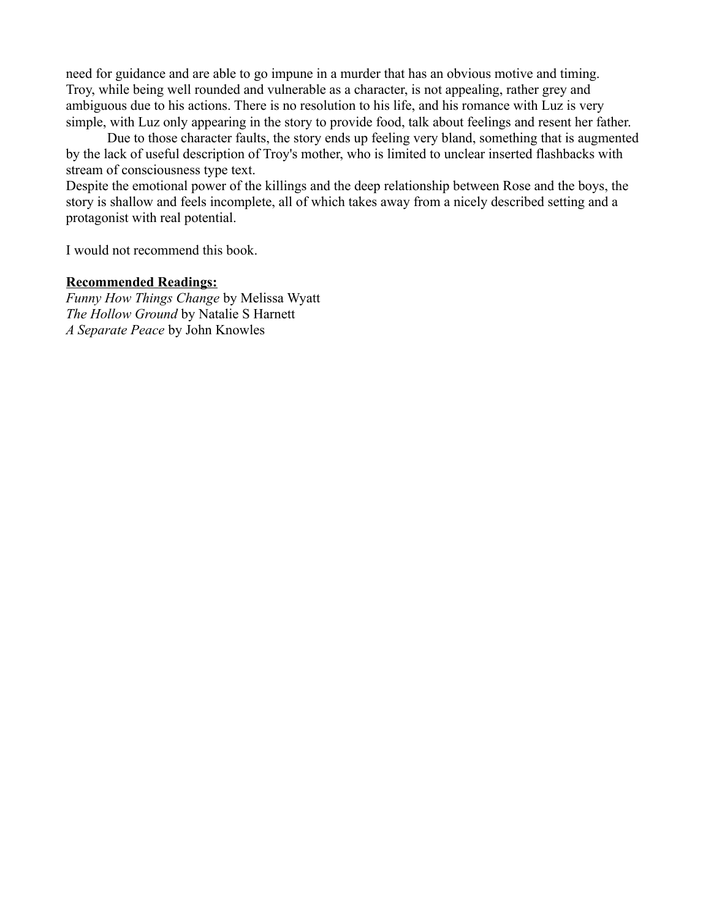need for guidance and are able to go impune in a murder that has an obvious motive and timing. Troy, while being well rounded and vulnerable as a character, is not appealing, rather grey and ambiguous due to his actions. There is no resolution to his life, and his romance with Luz is very simple, with Luz only appearing in the story to provide food, talk about feelings and resent her father.

Due to those character faults, the story ends up feeling very bland, something that is augmented by the lack of useful description of Troy's mother, who is limited to unclear inserted flashbacks with stream of consciousness type text.

Despite the emotional power of the killings and the deep relationship between Rose and the boys, the story is shallow and feels incomplete, all of which takes away from a nicely described setting and a protagonist with real potential.

I would not recommend this book.

## **Recommended Readings:**

*Funny How Things Change* by Melissa Wyatt *The Hollow Ground* by Natalie S Harnett *A Separate Peace* by John Knowles